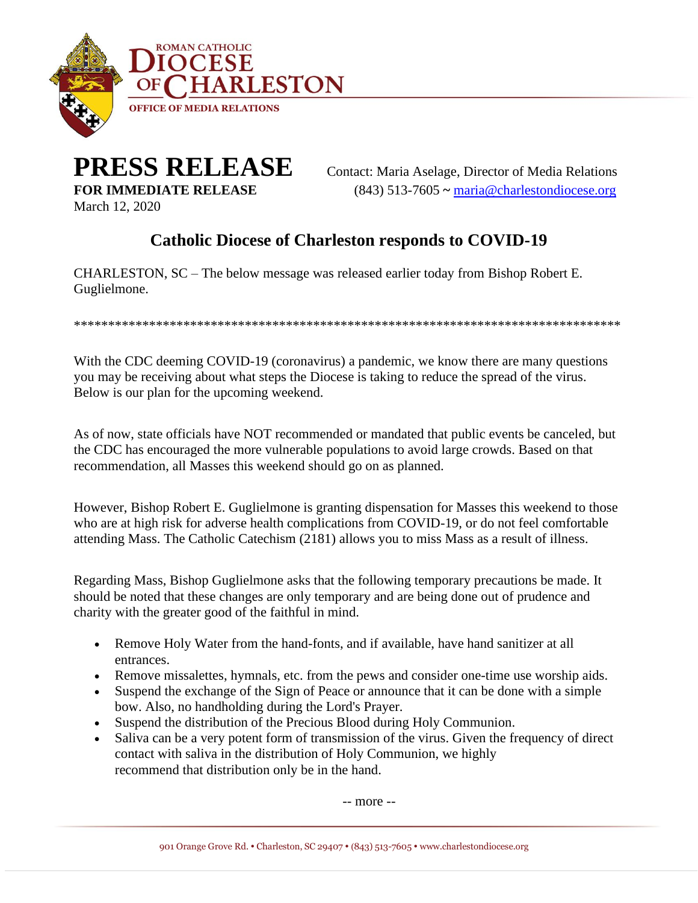

## **PRESS RELEASE** Contact: Maria Aselage, Director of Media Relations

March 12, 2020

**FOR IMMEDIATE RELEASE** (843) 513-7605 **~** [maria@charlestondiocese.org](mailto:maria@charlestondiocese.org.)

## **Catholic Diocese of Charleston responds to COVID-19**

CHARLESTON, SC – The below message was released earlier today from Bishop Robert E. Guglielmone.

\*\*\*\*\*\*\*\*\*\*\*\*\*\*\*\*\*\*\*\*\*\*\*\*\*\*\*\*\*\*\*\*\*\*\*\*\*\*\*\*\*\*\*\*\*\*\*\*\*\*\*\*\*\*\*\*\*\*\*\*\*\*\*\*\*\*\*\*\*\*\*\*\*\*\*\*\*\*\*\*

With the CDC deeming COVID-19 (coronavirus) a pandemic, we know there are many questions you may be receiving about what steps the Diocese is taking to reduce the spread of the virus. Below is our plan for the upcoming weekend.

As of now, state officials have NOT recommended or mandated that public events be canceled, but the CDC has encouraged the more vulnerable populations to avoid large crowds. Based on that recommendation, all Masses this weekend should go on as planned.

However, Bishop Robert E. Guglielmone is granting dispensation for Masses this weekend to those who are at high risk for adverse health complications from COVID-19, or do not feel comfortable attending Mass. The Catholic Catechism (2181) allows you to miss Mass as a result of illness.

Regarding Mass, Bishop Guglielmone asks that the following temporary precautions be made. It should be noted that these changes are only temporary and are being done out of prudence and charity with the greater good of the faithful in mind.

- Remove Holy Water from the hand-fonts, and if available, have hand sanitizer at all entrances.
- Remove missalettes, hymnals, etc. from the pews and consider one-time use worship aids.
- Suspend the exchange of the Sign of Peace or announce that it can be done with a simple bow. Also, no handholding during the Lord's Prayer.
- Suspend the distribution of the Precious Blood during Holy Communion.
- Saliva can be a very potent form of transmission of the virus. Given the frequency of direct contact with saliva in the distribution of Holy Communion, we highly recommend that distribution only be in the hand.

-- more --